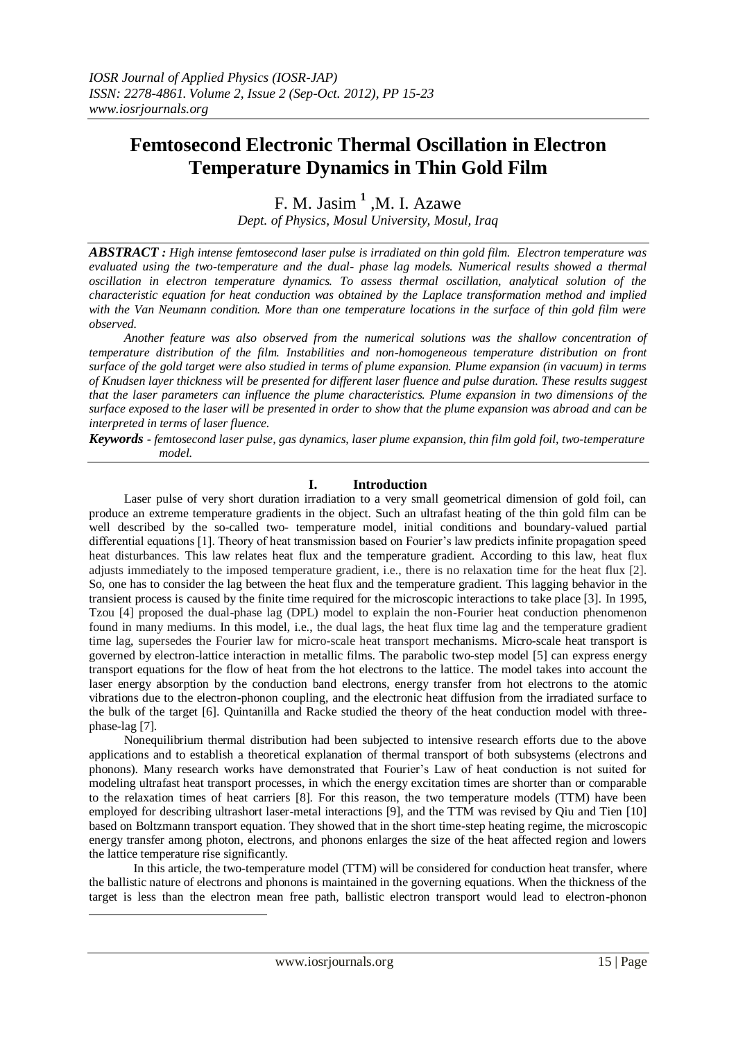# **Femtosecond Electronic Thermal Oscillation in Electron Temperature Dynamics in Thin Gold Film**

F. M. Jasim **<sup>1</sup>** ,M. I. Azawe *Dept. of Physics, Mosul University, Mosul, Iraq*

*ABSTRACT : High intense femtosecond laser pulse is irradiated on thin gold film. Electron temperature was evaluated using the two-temperature and the dual- phase lag models. Numerical results showed a thermal oscillation in electron temperature dynamics. To assess thermal oscillation, analytical solution of the characteristic equation for heat conduction was obtained by the Laplace transformation method and implied with the Van Neumann condition. More than one temperature locations in the surface of thin gold film were observed.*

*Another feature was also observed from the numerical solutions was the shallow concentration of temperature distribution of the film. Instabilities and non-homogeneous temperature distribution on front surface of the gold target were also studied in terms of plume expansion. Plume expansion (in vacuum) in terms of Knudsen layer thickness will be presented for different laser fluence and pulse duration. These results suggest that the laser parameters can influence the plume characteristics. Plume expansion in two dimensions of the surface exposed to the laser will be presented in order to show that the plume expansion was abroad and can be interpreted in terms of laser fluence.*

*Keywords - femtosecond laser pulse, gas dynamics, laser plume expansion, thin film gold foil, two-temperature model.* 

## **I. Introduction**

Laser pulse of very short duration irradiation to a very small geometrical dimension of gold foil, can produce an extreme temperature gradients in the object. Such an ultrafast heating of the thin gold film can be well described by the so-called two- temperature model, initial conditions and boundary-valued partial differential equations [1]. Theory of heat transmission based on Fourier's law predicts infinite propagation speed heat disturbances. This law relates heat flux and the temperature gradient. According to this law, heat flux adjusts immediately to the imposed temperature gradient, i.e., there is no relaxation time for the heat flux [2]. So, one has to consider the lag between the heat flux and the temperature gradient. This lagging behavior in the transient process is caused by the finite time required for the microscopic interactions to take place [3]. In 1995, Tzou [4] proposed the dual-phase lag (DPL) model to explain the non-Fourier heat conduction phenomenon found in many mediums. In this model, i.e., the dual lags, the heat flux time lag and the temperature gradient time lag, supersedes the Fourier law for micro-scale heat transport mechanisms. Micro-scale heat transport is governed by electron-lattice interaction in metallic films. The parabolic two-step model [5] can express energy transport equations for the flow of heat from the hot electrons to the lattice. The model takes into account the laser energy absorption by the conduction band electrons, energy transfer from hot electrons to the atomic vibrations due to the electron-phonon coupling, and the electronic heat diffusion from the irradiated surface to the bulk of the target [6]. Quintanilla and Racke studied the theory of the heat conduction model with threephase-lag [7].

Nonequilibrium thermal distribution had been subjected to intensive research efforts due to the above applications and to establish a theoretical explanation of thermal transport of both subsystems (electrons and phonons). Many research works have demonstrated that Fourier's Law of heat conduction is not suited for modeling ultrafast heat transport processes, in which the energy excitation times are shorter than or comparable to the relaxation times of heat carriers [8]. For this reason, the two temperature models (TTM) have been employed for describing ultrashort laser-metal interactions [9], and the TTM was revised by Qiu and Tien [10] based on Boltzmann transport equation. They showed that in the short time-step heating regime, the microscopic energy transfer among photon, electrons, and phonons enlarges the size of the heat affected region and lowers the lattice temperature rise significantly.

In this article, the two-temperature model (TTM) will be considered for conduction heat transfer, where the ballistic nature of electrons and phonons is maintained in the governing equations. When the thickness of the target is less than the electron mean free path, ballistic electron transport would lead to electron-phonon

-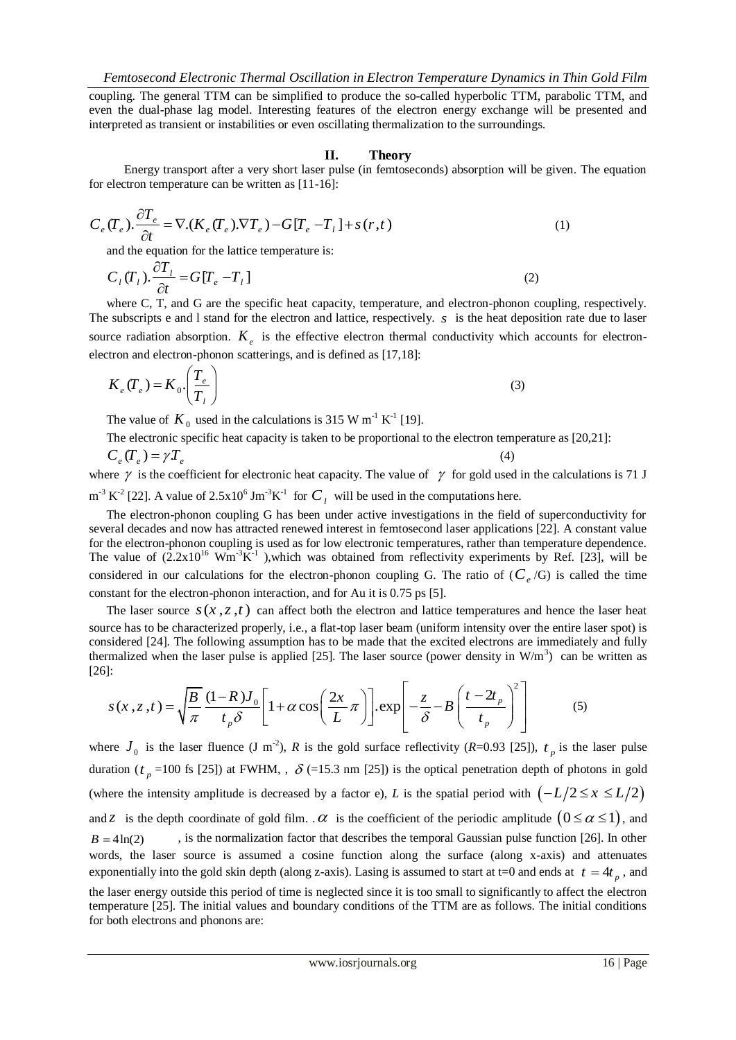coupling. The general TTM can be simplified to produce the so-called hyperbolic TTM, parabolic TTM, and even the dual-phase lag model. Interesting features of the electron energy exchange will be presented and interpreted as transient or instabilities or even oscillating thermalization to the surroundings.

### **II. Theory**

Energy transport after a very short laser pulse (in femtoseconds) absorption will be given. The equation for electron temperature can be written as [11-16]:

$$
C_e(T_e) \cdot \frac{\partial T_e}{\partial t} = \nabla \cdot (K_e(T_e) \cdot \nabla T_e) - G[T_e - T_1] + s(r, t)
$$
\n(1)

and the equation for the lattice temperature is:

$$
C_{\iota}(T_{\iota}).\frac{\partial T_{\iota}}{\partial t} = G[T_{e} - T_{\iota}]
$$
\n(2)

where C, T, and G are the specific heat capacity, temperature, and electron-phonon coupling, respectively. The subscripts  $e$  and  $1$  stand for the electron and lattice, respectively.  $s$  is the heat deposition rate due to laser source radiation absorption.  $K_e$  is the effective electron thermal conductivity which accounts for electronelectron and electron-phonon scatterings, and is defined as [17,18]:

$$
K_e(T_e) = K_0 \cdot \left(\frac{T_e}{T_l}\right) \tag{3}
$$

The value of  $K_0$  used in the calculations is 315 W m<sup>-1</sup> K<sup>-1</sup> [19].

The electronic specific heat capacity is taken to be proportional to the electron temperature as [20,21]:

$$
C_e(T_e) = \gamma T_e \tag{4}
$$

where  $\gamma$  is the coefficient for electronic heat capacity. The value of  $\gamma$  for gold used in the calculations is 71 J  $m^{-3} K^{-2}$  [22]. A value of 2.5x10<sup>6</sup> Jm<sup>-3</sup>K<sup>-1</sup> for  $C_l$  will be used in the computations here.

The electron-phonon coupling G has been under active investigations in the field of superconductivity for several decades and now has attracted renewed interest in femtosecond laser applications [22]. A constant value for the electron-phonon coupling is used as for low electronic temperatures, rather than temperature dependence. The value of  $(2.2x10^{16} \text{ Wm}^3\text{K}^{-1})$ , which was obtained from reflectivity experiments by Ref. [23], will be considered in our calculations for the electron-phonon coupling G. The ratio of  $(C_e/G)$  is called the time constant for the electron-phonon interaction, and for Au it is 0.75 ps [5].

The laser source  $s(x, z, t)$  can affect both the electron and lattice temperatures and hence the laser heat source has to be characterized properly, i.e., a flat-top laser beam (uniform intensity over the entire laser spot) is considered [24]. The following assumption has to be made that the excited electrons are immediately and fully thermalized when the laser pulse is applied [25]. The laser source (power density in W/m<sup>3</sup>) can be written as [26]:<br>
[26]:<br>  $s(x, z, t) = \sqrt{\frac{B}{\pi}} \frac{(1 - R)J_0}{t_0 \delta} \left[1 + \alpha \cos\left(\frac{2x}{L}\pi\right)\right] \exp\left[-\frac{z}{\delta} - B\left(\frac{t - 2t_p}{t_n}\right)^2\right$ [26]: wing assumption has to be made that the excited electrons are immediatel<br>er pulse is applied [25]. The laser source (power density in W/m<sup>3</sup>) can be<br> $\frac{-R \, J_0}{1 + \alpha \cos\left(\frac{2x}{L} \pi\right)} \left[1 + \alpha \cos\left(\frac{2x}{L} \pi\right)\right] \exp\left[-\frac{z}{s} - B$ 

malized when the laser pulse is applied [25]. The laser source (power density in W/m<sup>3</sup>) can be  
\n:  
\n
$$
s(x, z, t) = \sqrt{\frac{B}{\pi}} \frac{(1 - R)J_0}{t_p \delta} \left[ 1 + \alpha \cos\left(\frac{2x}{L}\pi\right) \right] \cdot \exp\left[-\frac{z}{\delta} - B\left(\frac{t - 2t_p}{t_p}\right)^2\right]
$$
\n(5)

where  $J_0$  is the laser fluence (J m<sup>-2</sup>), *R* is the gold surface reflectivity (*R*=0.93 [25]),  $t_p$  is the laser pulse duration ( $t_p$  =100 fs [25]) at FWHM, ,  $\delta$  (=15.3 nm [25]) is the optical penetration depth of photons in gold (where the intensity amplitude is decreased by a factor e), *L* is the spatial period with  $\left(-L/2 \leq x \leq L/2\right)$ and *z* is the depth coordinate of gold film.  $\alpha$  is the coefficient of the periodic amplitude  $(0 \le \alpha \le 1)$ , and  $B = 4 \ln(2)$ , is the normalization factor that describes the temporal Gaussian pulse function [26]. In other words, the laser source is assumed a cosine function along the surface (along x-axis) and attenuates exponentially into the gold skin depth (along z-axis). Lasing is assumed to start at t=0 and ends at  $t = 4t_p$ , and the laser energy outside this period of time is neglected since it is too small to significantly to affect the electron temperature [25]. The initial values and boundary conditions of the TTM are as follows. The initial conditions for both electrons and phonons are: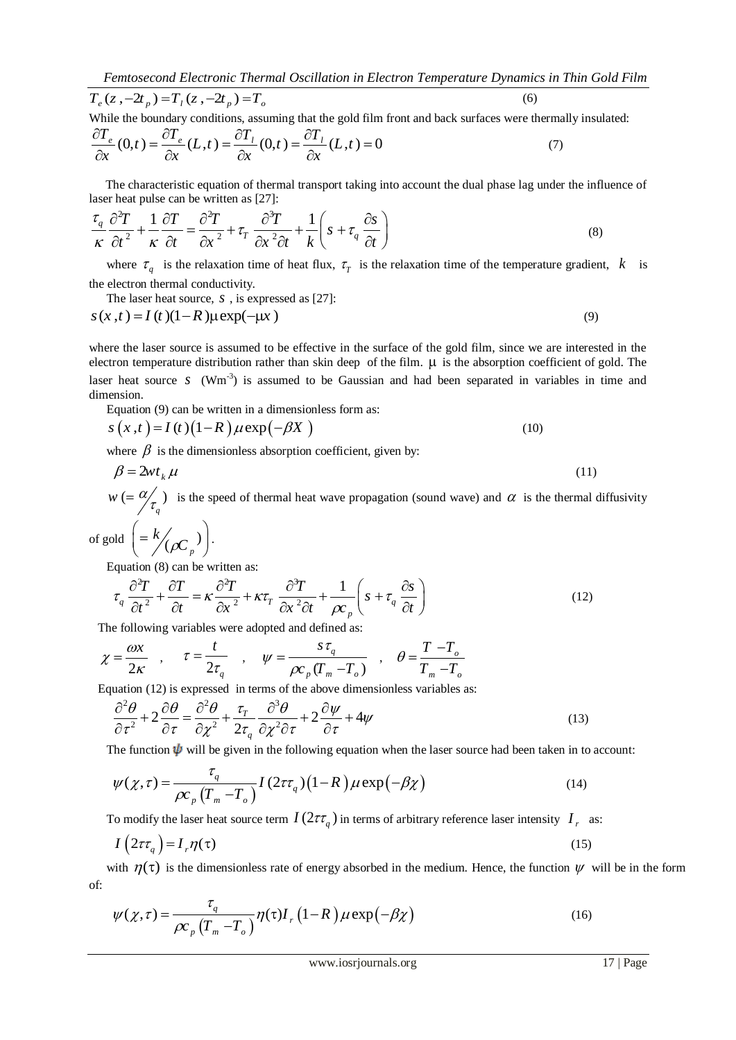*Femtosecond Electronic Thermal Oscillation in Electron Temperature Dynamics in Thin Gold Film*  
\n
$$
T_e(z, -2t_p) = T_1(z, -2t_p) = T_o
$$
 (6)  
\nWhile the boundary conditions, assuming that the gold film front and back surfaces were thermally insulated:

$$
I_e(z, -2I_p) = I_1(z, -2I_p) = I_o
$$
  
\nWhile the boundary conditions, assuming that the gold film front and back surfaces were thermal  
\n
$$
\frac{\partial T_e}{\partial x}(0,t) = \frac{\partial T_e}{\partial x}(L,t) = \frac{\partial T_l}{\partial x}(0,t) = \frac{\partial T_l}{\partial x}(L,t) = 0
$$
\n(7)

The characteristic equation of thermal transport taking into account the dual phase lag under the influence of<br>  $\hat{C}^2T$  +  $\hat{C}^T$  +  $\hat{C}^T$  =  $\hat{C}^T$  +  $\hat{C}^T$  +  $\hat{C}^T$  +  $\hat{C}$  +  $\hat{C}$  +  $\hat{C}$  +  $\hat{C}$ laser heat pulse can be written as [27]:<br> $\tau \partial^2 T = 1 \partial T - \partial^2 T = \partial^3 T$ 

The characteristic equation of thermal transport taking into account the dual phase lag under the initial  
laser heat pulse can be written as [27]:  

$$
\frac{\tau_q}{\kappa} \frac{\partial^2 T}{\partial t^2} + \frac{1}{\kappa} \frac{\partial T}{\partial t} = \frac{\partial^2 T}{\partial x^2} + \tau_T \frac{\partial^3 T}{\partial x^2 \partial t} + \frac{1}{k} \left( s + \tau_q \frac{\partial s}{\partial t} \right)
$$
(8)

where  $\tau_q$  is the relaxation time of heat flux,  $\tau_r$  is the relaxation time of the temperature gradient, k is the electron thermal conductivity.

The laser heat source, 
$$
s
$$
, is expressed as [27]:

The laser heat source, *s*, is expressed as [27]:  
\n
$$
s(x,t) = I(t)(1-R)\mu \exp(-\mu x)
$$
\n(9)

where the laser source is assumed to be effective in the surface of the gold film, since we are interested in the electron temperature distribution rather than skin deep of the film.  $\mu$  is the absorption coefficient of gold. The laser heat source  $s$  (Wm<sup>-3</sup>) is assumed to be Gaussian and had been separated in variables in time and dimension.

Equation (9) can be written in a dimensionless form as:  
\n
$$
s(x,t) = I(t) (1-R) \mu \exp(-\beta X)
$$
\n(10)

where  $\beta$  is the dimensionless absorption coefficient, given by:

$$
\beta = 2wt_k \mu \tag{11}
$$

 $w (= \alpha \ll 1)$ *q*  $w = \frac{\alpha}{\tau}$  is the speed of thermal heat wave propagation (sound wave) and  $\alpha$  is the thermal diffusivity

of gold 
$$
\left( = \frac{k}{\rho C_p} \right)
$$
.

Equation (8) can be written as:  
\n
$$
\tau_q \frac{\partial^2 T}{\partial t^2} + \frac{\partial T}{\partial t} = \kappa \frac{\partial^2 T}{\partial x^2} + \kappa \tau_T \frac{\partial^3 T}{\partial x^2 \partial t} + \frac{1}{\rho c_p} \left( s + \tau_q \frac{\partial s}{\partial t} \right)
$$
\n(12)

The following variables were adopted and defined as:

.

$$
\chi = \frac{\omega x}{2\kappa} , \quad \tau = \frac{t}{2\tau_q} , \quad \psi = \frac{s\tau_q}{\rho c_p (T_m - T_o)} , \quad \theta = \frac{T - T_o}{T_m - T_o}
$$

Equation (12) is expressed in terms of the above dimensionless variables as:  
\n
$$
\frac{\partial^2 \theta}{\partial \tau^2} + 2 \frac{\partial \theta}{\partial \tau} = \frac{\partial^2 \theta}{\partial \chi^2} + \frac{\tau_r}{2\tau_q} \frac{\partial^3 \theta}{\partial \chi^2 \partial \tau} + 2 \frac{\partial \psi}{\partial \tau} + 4\psi
$$
\n(13)

The function 
$$
\psi
$$
 will be given in the following equation when the laser source had been taken in to account:  
\n
$$
\psi(\chi,\tau) = \frac{\tau_q}{\rho c_p \left( T_m - T_o \right)} I \left( 2\tau \tau_q \right) \left( 1 - R \right) \mu \exp \left( -\beta \chi \right) \tag{14}
$$

To modify the laser heat source term  $I(2\tau\tau_q)$  in terms of arbitrary reference laser intensity  $I_r$  as:

$$
I\left(2\tau\tau_q\right) = I_r \eta(\tau) \tag{15}
$$

with  $\eta(\tau)$  is the dimensionless rate of energy absorbed in the medium. Hence, the function  $\psi$  will be in the form of:

$$
\psi(\chi,\tau) = \frac{\tau_q}{\rho c_p \left(T_m - T_o\right)} \eta(\tau) I_r \left(1 - R\right) \mu \exp\left(-\beta \chi\right)
$$
\n(16)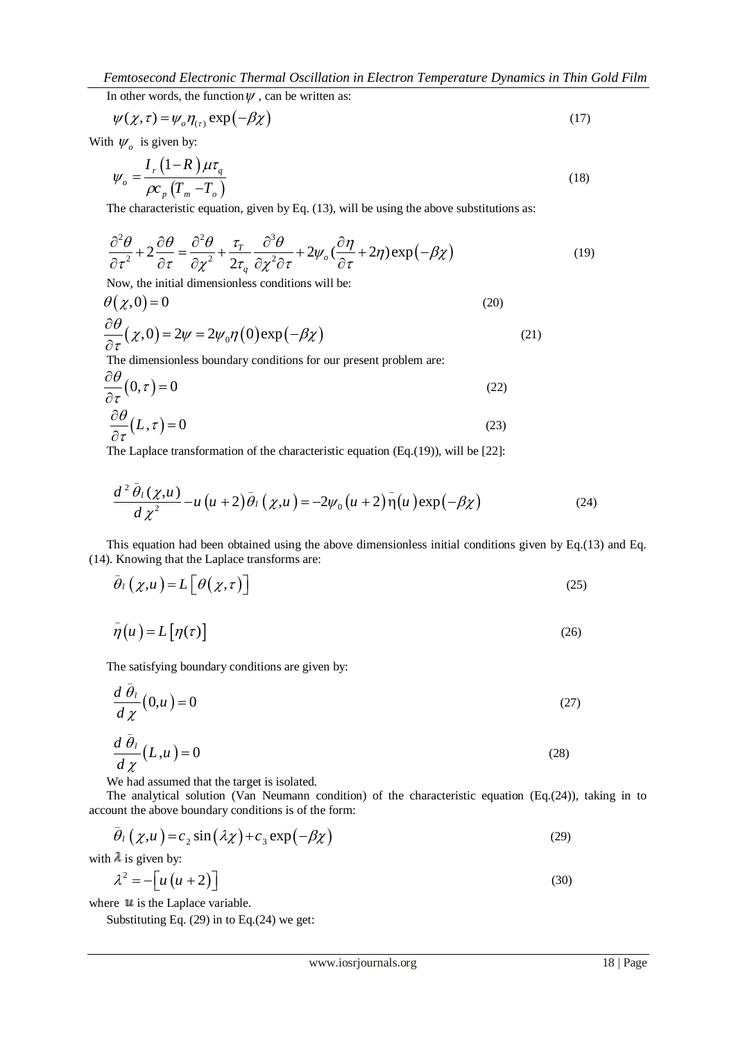*Femtosecond Electronic Thermal Oscillation in Electron Temperature Dynamics in Thin Gold Film*

In other words, the function  $\psi$ , can be written as:

$$
\psi(\chi,\tau) = \psi_o \eta_{(\tau)} \exp(-\beta \chi) \tag{17}
$$

With  $\psi_o$  is given by:

$$
\psi_o = \frac{I_r (1 - R) \mu \tau_q}{\rho c_p (T_m - T_o)}
$$
\n(18)

The characteristic equation, given by Eq. (13), will be using the above substitutions as:  
\n
$$
\frac{\partial^2 \theta}{\partial \tau^2} + 2 \frac{\partial \theta}{\partial \tau} = \frac{\partial^2 \theta}{\partial \chi^2} + \frac{\tau_r}{2\tau_q} \frac{\partial^3 \theta}{\partial \chi^2 \partial \tau} + 2\psi_o \left(\frac{\partial \eta}{\partial \tau} + 2\eta\right) \exp\left(-\beta \chi\right)
$$
\n(19)

Now, the initial dimensionless conditions will be:

$$
\theta(\chi,0) = 0 \tag{20}
$$

$$
\frac{\partial \theta}{\partial \tau}(x,0) = 2\psi = 2\psi_0 \eta(0) \exp(-\beta x)
$$
\n(21)

The dimensionless boundary conditions for our present problem are:

$$
\frac{\partial \theta}{\partial \tau}(0, \tau) = 0 \tag{22}
$$

$$
\frac{\partial \theta}{\partial \tau}(L,\tau) = 0\tag{23}
$$

The Laplace transformation of the characteristic equation (Eq.(19)), will be [22]:  
\n
$$
\frac{d^2 \bar{\theta}_l(\chi, u)}{d \chi^2} - u(u+2) \bar{\theta}_l(\chi, u) = -2\psi_0(u+2) \bar{\eta}(u) \exp(-\beta \chi)
$$
\n(24)

This equation had been obtained using the above dimensionless initial conditions given by Eq.(13) and Eq. (14). Knowing that the Laplace transforms are:

$$
\bar{\theta}_{l}\left(\chi,u\right) = L\left[\theta\left(\chi,\tau\right)\right]
$$
\n(25)

$$
\bar{\eta}(u) = L[\eta(\tau)] \tag{26}
$$

The satisfying boundary conditions are given by:

$$
\frac{d\bar{\theta}_l}{d\chi}(0,u) = 0\tag{27}
$$

$$
\frac{d\bar{\theta}_l}{d\chi}(L,\mu) = 0\tag{28}
$$

We had assumed that the target is isolated.

The analytical solution (Van Neumann condition) of the characteristic equation (Eq.(24)), taking in to account the above boundary conditions is of the form:

unit the above boundary conditions is of the form:  
\n
$$
\bar{\theta}_l(\chi, u) = c_2 \sin(\lambda \chi) + c_3 \exp(-\beta \chi)
$$
\n(29)

with  $\lambda$  is given by:

$$
\lambda^2 = -\left[ u\left( u + 2 \right) \right] \tag{30}
$$

where  $\boldsymbol{u}$  is the Laplace variable.

Substituting Eq. (29) in to Eq.(24) we get: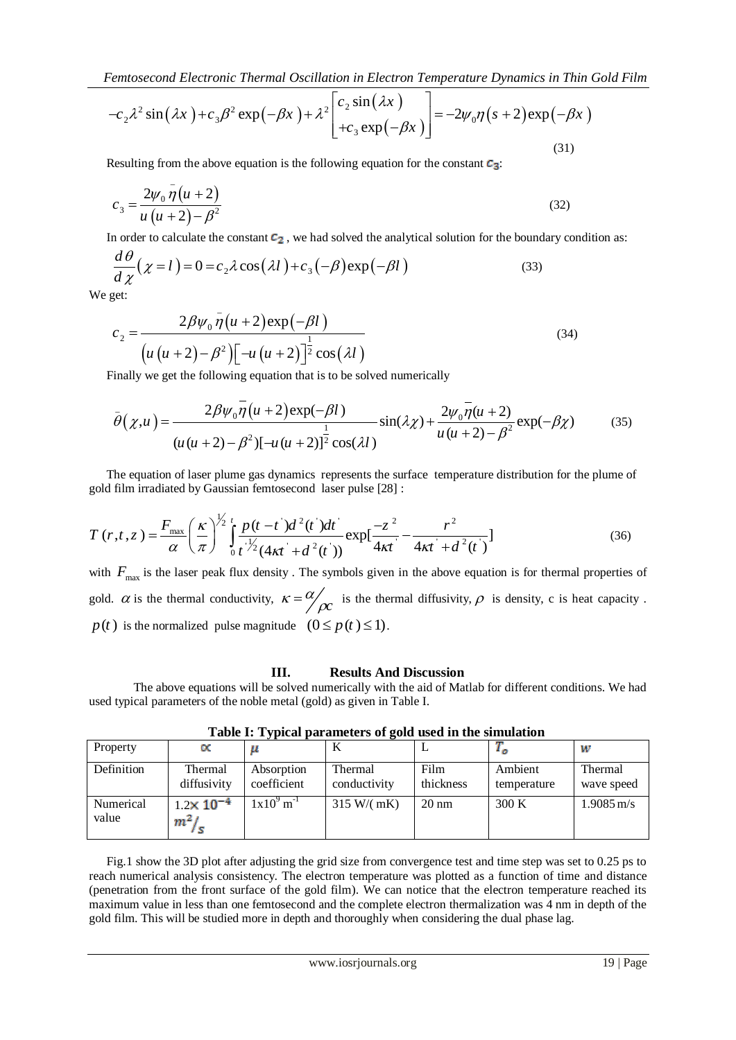$$
\text{Femtosecond Electronic Thermal Oscillation in Electron Temperature Dynamics in Thin Gold Film} \\ -c_2 \lambda^2 \sin(\lambda x) + c_3 \beta^2 \exp(-\beta x) + \lambda^2 \begin{bmatrix} c_2 \sin(\lambda x) \\ +c_3 \exp(-\beta x) \end{bmatrix} = -2\psi_0 \eta (s+2) \exp(-\beta x) \tag{31}
$$

Resulting from the above equation is the following equation for the constant  $c_3$ :

$$
c_3 = \frac{2\psi_0 \bar{\eta} (u+2)}{u (u+2) - \beta^2}
$$
 (32)

In order to calculate the constant 
$$
\mathbf{c}_2
$$
, we had solved the analytical solution for the boundary condition as:  
\n
$$
\frac{d\theta}{d\chi}(\chi = l) = 0 = c_2 \lambda \cos(\lambda l) + c_3(-\beta) \exp(-\beta l)
$$
\n(33)

We get:

get:  
\n
$$
c_2 = \frac{2\beta\psi_0 \bar{\eta}(u+2) \exp(-\beta l)}{[u(u+2)-\beta^2][-u(u+2)]^{\frac{1}{2}} \cos(\lambda l)}
$$
\n(34)

Finally we get the following equation that is to be solved numerically

$$
\left[u\left(u+2\right)-\beta^{2}\right)\left[-u\left(u+2\right)\right]^{2}\cos(\lambda l)
$$
  
Finally we get the following equation that is to be solved numerically  

$$
\bar{\theta}(\chi,u) = \frac{2\beta\psi_{0}\bar{\eta}\left(u+2\right)\exp(-\beta l)}{\left(u\left(u+2\right)-\beta^{2}\right)\left[-u\left(u+2\right)\right]^{2}}\sin(\lambda\chi) + \frac{2\psi_{0}\bar{\eta}\left(u+2\right)}{u\left(u+2\right)-\beta^{2}}\exp(-\beta\chi) \tag{35}
$$

The equation of laser plume gas dynamics represents the surface temperature distribution for the plume of

The equation of laser plume gas dynamics represents the surface temperature distribution for the plume of  
gold film irradiated by Gaussian femtosecond laser pulse [28]:  

$$
T(r,t,z) = \frac{F_{\text{max}}}{\alpha} \left(\frac{\kappa}{\pi}\right)^{\frac{1}{2}} \int_{0}^{t} \frac{p(t-t')d^{2}(t')dt'}{t^{2}(4\kappa t'+d^{2}(t'))} exp[\frac{-z^{2}}{4\kappa t} - \frac{r^{2}}{4\kappa t'+d^{2}(t)})
$$
(36)

with  $F_{\text{max}}$  is the laser peak flux density. The symbols given in the above equation is for thermal properties of gold.  $\alpha$  is the thermal conductivity,  $\kappa = \alpha/\beta c$  $=\frac{\alpha}{\rho c}$  is the thermal diffusivity,  $\rho$  is density, c is heat capacity.  $p(t)$  is the normalized pulse magnitude  $(0 \le p(t) \le 1)$ .

#### **III. Results And Discussion**

The above equations will be solved numerically with the aid of Matlab for different conditions. We had used typical parameters of the noble metal (gold) as given in Table I.

| . .        |                        |                           |                         |                   |                        |                         |
|------------|------------------------|---------------------------|-------------------------|-------------------|------------------------|-------------------------|
| Property   |                        |                           | N                       |                   |                        | w                       |
| Definition | Thermal<br>diffusivity | Absorption<br>coefficient | Thermal<br>conductivity | Film<br>thickness | Ambient<br>temperature | Thermal<br>wave speed   |
| Numerical  | $1.2 \times 10^{-4}$   | $1x10^9$ m <sup>-1</sup>  | 315 W/(mK)              | $20 \text{ nm}$   | 300 K                  | $1.9085 \,\mathrm{m/s}$ |
| value      | m <sup>2</sup>         |                           |                         |                   |                        |                         |

**Table I: Typical parameters of gold used in the simulation**

Fig.1 show the 3D plot after adjusting the grid size from convergence test and time step was set to 0.25 ps to reach numerical analysis consistency. The electron temperature was plotted as a function of time and distance (penetration from the front surface of the gold film). We can notice that the electron temperature reached its maximum value in less than one femtosecond and the complete electron thermalization was 4 nm in depth of the gold film. This will be studied more in depth and thoroughly when considering the dual phase lag.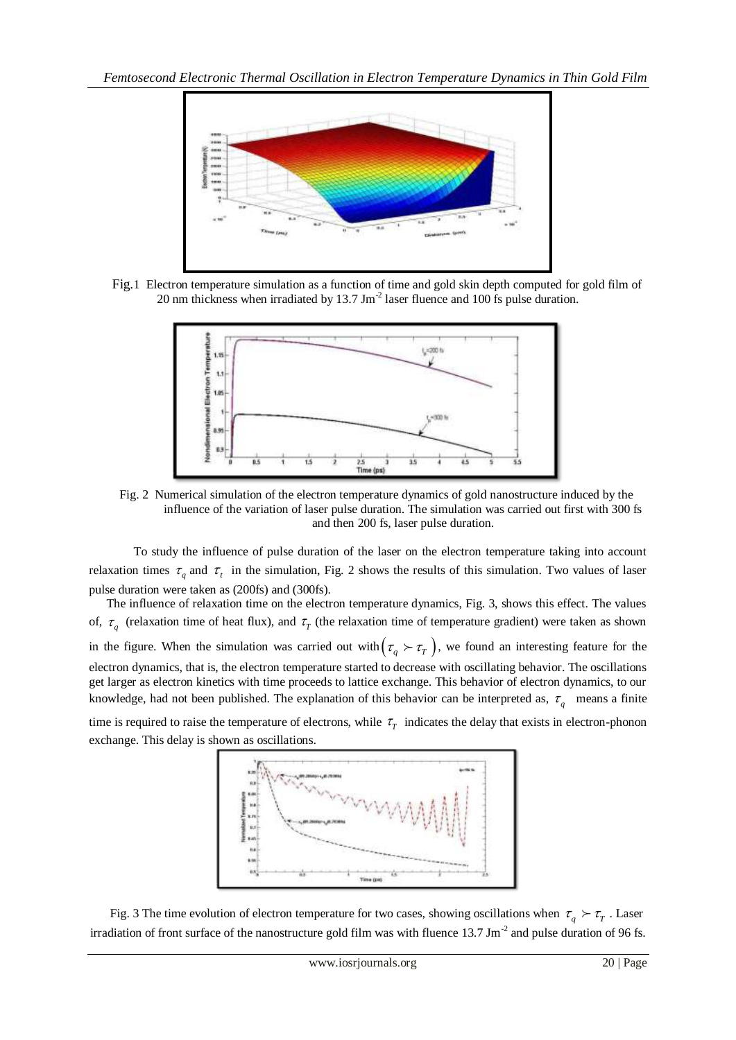

Fig.1 Electron temperature simulation as a function of time and gold skin depth computed for gold film of 20 nm thickness when irradiated by 13.7 Jm<sup>-2</sup> laser fluence and 100 fs pulse duration.



Fig. 2 Numerical simulation of the electron temperature dynamics of gold nanostructure induced by the influence of the variation of laser pulse duration. The simulation was carried out first with 300 fs and then 200 fs, laser pulse duration.

To study the influence of pulse duration of the laser on the electron temperature taking into account relaxation times  $\tau_q$  and  $\tau_t$  in the simulation, Fig. 2 shows the results of this simulation. Two values of laser pulse duration were taken as (200fs) and (300fs).

The influence of relaxation time on the electron temperature dynamics, Fig. 3, shows this effect. The values of,  $\tau_q$  (relaxation time of heat flux), and  $\tau_r$  (the relaxation time of temperature gradient) were taken as shown in the figure. When the simulation was carried out with  $(\tau_q > \tau_r)$ , we found an interesting feature for the electron dynamics, that is, the electron temperature started to decrease with oscillating behavior. The oscillations get larger as electron kinetics with time proceeds to lattice exchange. This behavior of electron dynamics, to our knowledge, had not been published. The explanation of this behavior can be interpreted as,  $\tau_q$  means a finite

time is required to raise the temperature of electrons, while  $\tau<sub>T</sub>$  indicates the delay that exists in electron-phonon exchange. This delay is shown as oscillations.



Fig. 3 The time evolution of electron temperature for two cases, showing oscillations when  $\tau_q \succ \tau_r$ . Laser irradiation of front surface of the nanostructure gold film was with fluence  $13.7 \text{ Jm}^{-2}$  and pulse duration of 96 fs.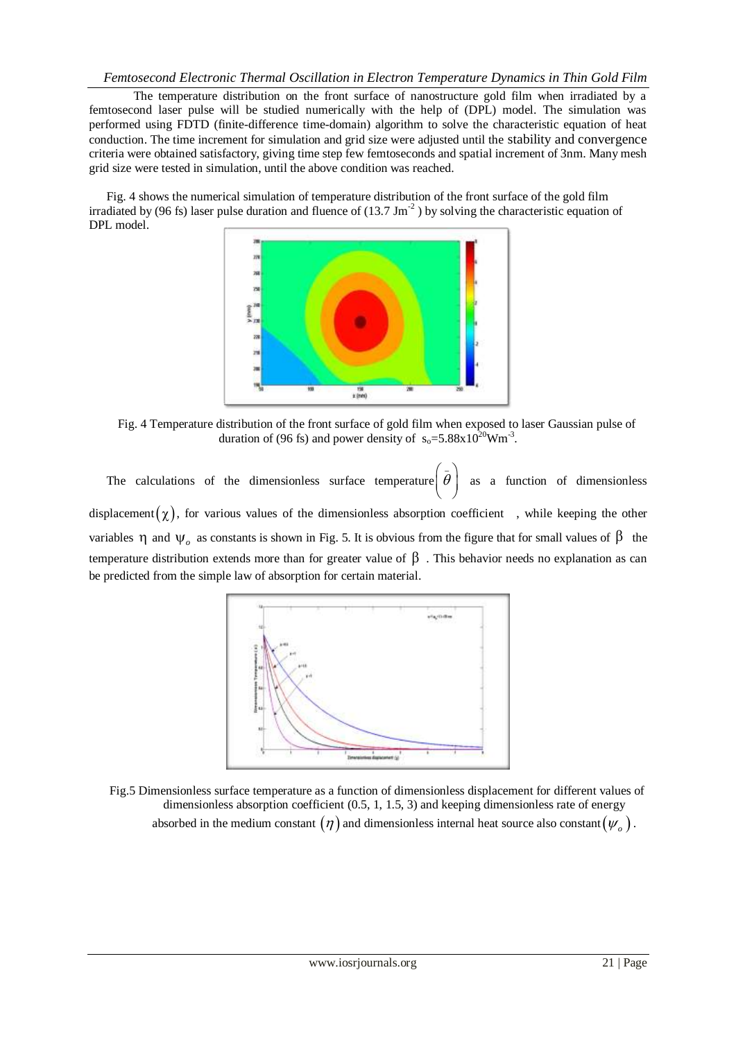## *Femtosecond Electronic Thermal Oscillation in Electron Temperature Dynamics in Thin Gold Film*

The temperature distribution on the front surface of nanostructure gold film when irradiated by a femtosecond laser pulse will be studied numerically with the help of (DPL) model. The simulation was performed using FDTD (finite-difference time-domain) algorithm to solve the characteristic equation of heat conduction. The time increment for simulation and grid size were adjusted until the stability and convergence criteria were obtained satisfactory, giving time step few femtoseconds and spatial increment of 3nm. Many mesh grid size were tested in simulation, until the above condition was reached.

Fig. 4 shows the numerical simulation of temperature distribution of the front surface of the gold film irradiated by (96 fs) laser pulse duration and fluence of (13.7 Jm<sup>-2</sup>) by solving the characteristic equation of DPL model.



Fig. 4 Temperature distribution of the front surface of gold film when exposed to laser Gaussian pulse of duration of (96 fs) and power density of  $s_0 = 5.88 \times 10^{20}$ Wm<sup>-3</sup>.

The calculations of the dimensionless surface temperature \_  $\left( \bar{\theta}\right)$ as a function of dimensionless displacement  $(\chi)$ , for various values of the dimensionless absorption coefficient, while keeping the other variables  $\eta$  and  $\Psi_o$  as constants is shown in Fig. 5. It is obvious from the figure that for small values of  $\beta$  the temperature distribution extends more than for greater value of  $\beta$ . This behavior needs no explanation as can be predicted from the simple law of absorption for certain material.



Fig.5 Dimensionless surface temperature as a function of dimensionless displacement for different values of dimensionless absorption coefficient (0.5, 1, 1.5, 3) and keeping dimensionless rate of energy absorbed in the medium constant  $(\eta)$  and dimensionless internal heat source also constant( $\psi_{_o}$ ).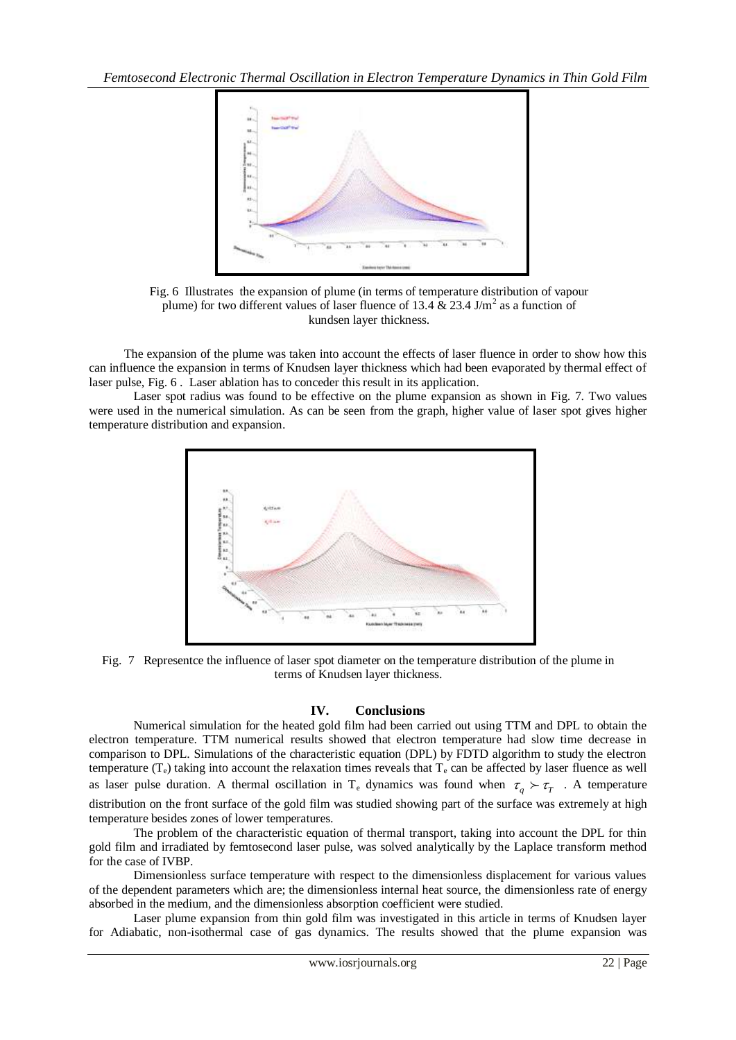

Fig. 6 Illustrates the expansion of plume (in terms of temperature distribution of vapour plume) for two different values of laser fluence of 13.4  $\&$  23.4 J/m<sup>2</sup> as a function of kundsen layer thickness.

The expansion of the plume was taken into account the effects of laser fluence in order to show how this can influence the expansion in terms of Knudsen layer thickness which had been evaporated by thermal effect of laser pulse, Fig. 6 . Laser ablation has to conceder this result in its application.

Laser spot radius was found to be effective on the plume expansion as shown in Fig. 7. Two values were used in the numerical simulation. As can be seen from the graph, higher value of laser spot gives higher temperature distribution and expansion.



Fig. 7 Representce the influence of laser spot diameter on the temperature distribution of the plume in terms of Knudsen layer thickness.

### **IV. Conclusions**

 Numerical simulation for the heated gold film had been carried out using TTM and DPL to obtain the electron temperature. TTM numerical results showed that electron temperature had slow time decrease in comparison to DPL. Simulations of the characteristic equation (DPL) by FDTD algorithm to study the electron temperature  $(T_e)$  taking into account the relaxation times reveals that  $T_e$  can be affected by laser fluence as well as laser pulse duration. A thermal oscillation in T<sub>e</sub> dynamics was found when  $\tau_q > \tau_T$ . A temperature distribution on the front surface of the gold film was studied showing part of the surface was extremely at high temperature besides zones of lower temperatures.

The problem of the characteristic equation of thermal transport, taking into account the DPL for thin gold film and irradiated by femtosecond laser pulse, was solved analytically by the Laplace transform method for the case of IVBP.

Dimensionless surface temperature with respect to the dimensionless displacement for various values of the dependent parameters which are; the dimensionless internal heat source, the dimensionless rate of energy absorbed in the medium, and the dimensionless absorption coefficient were studied.

Laser plume expansion from thin gold film was investigated in this article in terms of Knudsen layer for Adiabatic, non-isothermal case of gas dynamics. The results showed that the plume expansion was